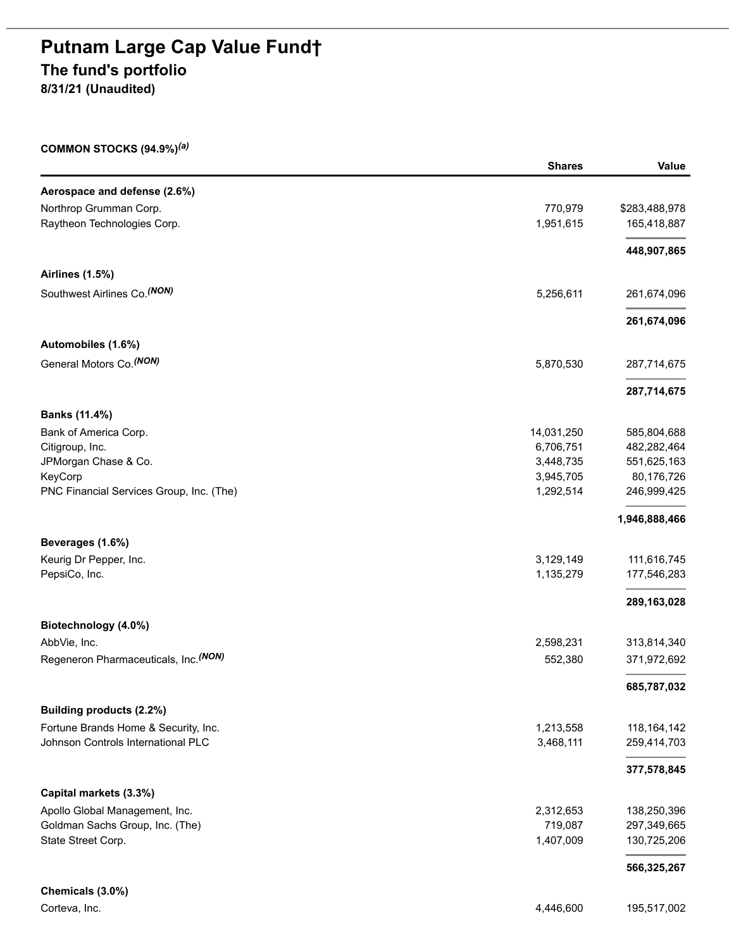# **Putnam Large Cap Value Fund† The fund's portfolio**

**8/31/21 (Unaudited)**

#### **COMMON STOCKS (94.9%)** *(a)*

|                                          | <b>Shares</b> | Value         |
|------------------------------------------|---------------|---------------|
| Aerospace and defense (2.6%)             |               |               |
| Northrop Grumman Corp.                   | 770,979       | \$283,488,978 |
| Raytheon Technologies Corp.              | 1,951,615     | 165,418,887   |
|                                          |               | 448,907,865   |
| <b>Airlines (1.5%)</b>                   |               |               |
| Southwest Airlines Co. (NON)             | 5,256,611     | 261,674,096   |
|                                          |               | 261,674,096   |
| Automobiles (1.6%)                       |               |               |
| General Motors Co. <sup>(NON)</sup>      | 5,870,530     | 287,714,675   |
|                                          |               | 287,714,675   |
| Banks (11.4%)                            |               |               |
| Bank of America Corp.                    | 14,031,250    | 585,804,688   |
| Citigroup, Inc.                          | 6,706,751     | 482,282,464   |
| JPMorgan Chase & Co.                     | 3,448,735     | 551,625,163   |
| KeyCorp                                  | 3,945,705     | 80,176,726    |
| PNC Financial Services Group, Inc. (The) | 1,292,514     | 246,999,425   |
|                                          |               | 1,946,888,466 |
| Beverages (1.6%)                         |               |               |
| Keurig Dr Pepper, Inc.                   | 3,129,149     | 111,616,745   |
| PepsiCo, Inc.                            | 1,135,279     | 177,546,283   |
|                                          |               | 289,163,028   |
| Biotechnology (4.0%)                     |               |               |
| AbbVie, Inc.                             | 2,598,231     | 313,814,340   |
| Regeneron Pharmaceuticals, Inc. (NON)    | 552,380       | 371,972,692   |
|                                          |               | 685,787,032   |
| Building products (2.2%)                 |               |               |
| Fortune Brands Home & Security, Inc.     | 1,213,558     | 118, 164, 142 |
| Johnson Controls International PLC       | 3,468,111     | 259,414,703   |
|                                          |               | 377,578,845   |
| Capital markets (3.3%)                   |               |               |
| Apollo Global Management, Inc.           | 2,312,653     | 138,250,396   |
| Goldman Sachs Group, Inc. (The)          | 719,087       | 297,349,665   |
| State Street Corp.                       | 1,407,009     | 130,725,206   |
|                                          |               | 566,325,267   |
| Chemicals (3.0%)                         |               |               |
| Corteva, Inc.                            | 4,446,600     | 195,517,002   |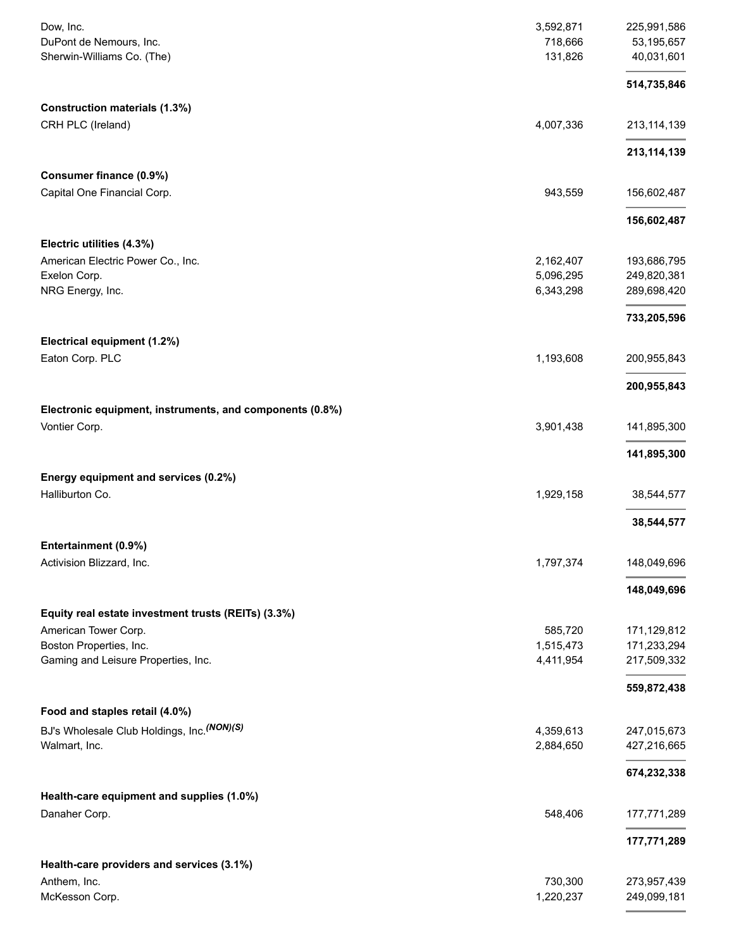| Dow, Inc.<br>DuPont de Nemours, Inc.<br>Sherwin-Williams Co. (The)            | 3,592,871<br>718,666<br>131,826 | 225,991,586<br>53,195,657<br>40,031,601 |
|-------------------------------------------------------------------------------|---------------------------------|-----------------------------------------|
|                                                                               |                                 | 514,735,846                             |
| <b>Construction materials (1.3%)</b>                                          |                                 |                                         |
| CRH PLC (Ireland)                                                             | 4,007,336                       | 213, 114, 139                           |
|                                                                               |                                 | 213, 114, 139                           |
| Consumer finance (0.9%)                                                       |                                 |                                         |
| Capital One Financial Corp.                                                   | 943,559                         | 156,602,487                             |
|                                                                               |                                 | 156,602,487                             |
| Electric utilities (4.3%)                                                     |                                 |                                         |
| American Electric Power Co., Inc.<br>Exelon Corp.                             | 2,162,407<br>5,096,295          | 193,686,795<br>249,820,381              |
| NRG Energy, Inc.                                                              | 6,343,298                       | 289,698,420                             |
|                                                                               |                                 | 733,205,596                             |
| Electrical equipment (1.2%)                                                   |                                 |                                         |
| Eaton Corp. PLC                                                               | 1,193,608                       | 200,955,843                             |
|                                                                               |                                 | 200,955,843                             |
| Electronic equipment, instruments, and components (0.8%)                      |                                 |                                         |
| Vontier Corp.                                                                 | 3,901,438                       | 141,895,300                             |
|                                                                               |                                 | 141,895,300                             |
| Energy equipment and services (0.2%)                                          |                                 |                                         |
| Halliburton Co.                                                               | 1,929,158                       | 38,544,577                              |
|                                                                               |                                 | 38,544,577                              |
| Entertainment (0.9%)                                                          |                                 |                                         |
| Activision Blizzard, Inc.                                                     | 1,797,374                       | 148,049,696                             |
|                                                                               |                                 | 148,049,696                             |
| Equity real estate investment trusts (REITs) (3.3%)                           |                                 |                                         |
| American Tower Corp.                                                          | 585,720                         | 171,129,812                             |
| Boston Properties, Inc.<br>Gaming and Leisure Properties, Inc.                | 1,515,473<br>4,411,954          | 171,233,294<br>217,509,332              |
|                                                                               |                                 |                                         |
|                                                                               |                                 | 559,872,438                             |
| Food and staples retail (4.0%)<br>BJ's Wholesale Club Holdings, Inc. (NON)(S) | 4,359,613                       | 247,015,673                             |
| Walmart, Inc.                                                                 | 2,884,650                       | 427,216,665                             |
|                                                                               |                                 | 674,232,338                             |
| Health-care equipment and supplies (1.0%)                                     |                                 |                                         |
| Danaher Corp.                                                                 | 548,406                         | 177,771,289                             |
|                                                                               |                                 | 177,771,289                             |
| Health-care providers and services (3.1%)                                     |                                 |                                         |
| Anthem, Inc.                                                                  | 730,300                         | 273,957,439                             |
| McKesson Corp.                                                                | 1,220,237                       | 249,099,181                             |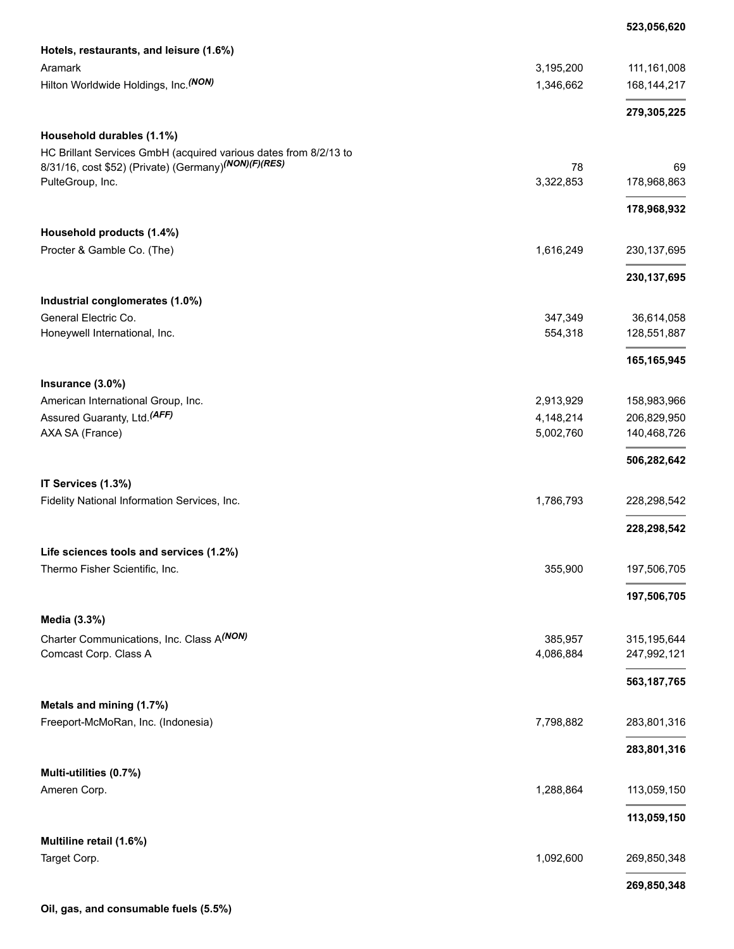#### **523,056,620**

| Hotels, restaurants, and leisure (1.6%)                          |           |               |
|------------------------------------------------------------------|-----------|---------------|
| Aramark                                                          | 3,195,200 | 111,161,008   |
| Hilton Worldwide Holdings, Inc. (NON)                            | 1,346,662 | 168, 144, 217 |
|                                                                  |           | 279,305,225   |
| Household durables (1.1%)                                        |           |               |
| HC Brillant Services GmbH (acquired various dates from 8/2/13 to |           |               |
| 8/31/16, cost \$52) (Private) (Germany) (NON) (F) (RES)          | 78        | 69            |
| PulteGroup, Inc.                                                 | 3,322,853 | 178,968,863   |
|                                                                  |           | 178,968,932   |
| Household products (1.4%)                                        |           |               |
| Procter & Gamble Co. (The)                                       | 1,616,249 | 230, 137, 695 |
|                                                                  |           | 230, 137, 695 |
| Industrial conglomerates (1.0%)                                  |           |               |
| General Electric Co.                                             | 347,349   | 36,614,058    |
| Honeywell International, Inc.                                    | 554,318   | 128,551,887   |
|                                                                  |           | 165,165,945   |
| Insurance (3.0%)                                                 |           |               |
| American International Group, Inc.                               | 2,913,929 | 158,983,966   |
| Assured Guaranty, Ltd. <sup>(AFF)</sup>                          | 4,148,214 | 206,829,950   |
| AXA SA (France)                                                  | 5,002,760 | 140,468,726   |
|                                                                  |           | 506,282,642   |
| IT Services (1.3%)                                               |           |               |
| Fidelity National Information Services, Inc.                     | 1,786,793 | 228,298,542   |
|                                                                  |           | 228,298,542   |
| Life sciences tools and services (1.2%)                          |           |               |
| Thermo Fisher Scientific, Inc.                                   | 355,900   | 197,506,705   |
|                                                                  |           | 197,506,705   |
| Media (3.3%)                                                     |           |               |
| Charter Communications, Inc. Class A(NON)                        | 385,957   | 315,195,644   |
| Comcast Corp. Class A                                            | 4,086,884 | 247,992,121   |
|                                                                  |           | 563, 187, 765 |
| Metals and mining (1.7%)                                         |           |               |
| Freeport-McMoRan, Inc. (Indonesia)                               | 7,798,882 | 283,801,316   |
|                                                                  |           | 283,801,316   |
| Multi-utilities (0.7%)                                           |           |               |
| Ameren Corp.                                                     | 1,288,864 | 113,059,150   |
|                                                                  |           | 113,059,150   |
| Multiline retail (1.6%)                                          |           |               |
| Target Corp.                                                     | 1,092,600 | 269,850,348   |
|                                                                  |           | 269,850,348   |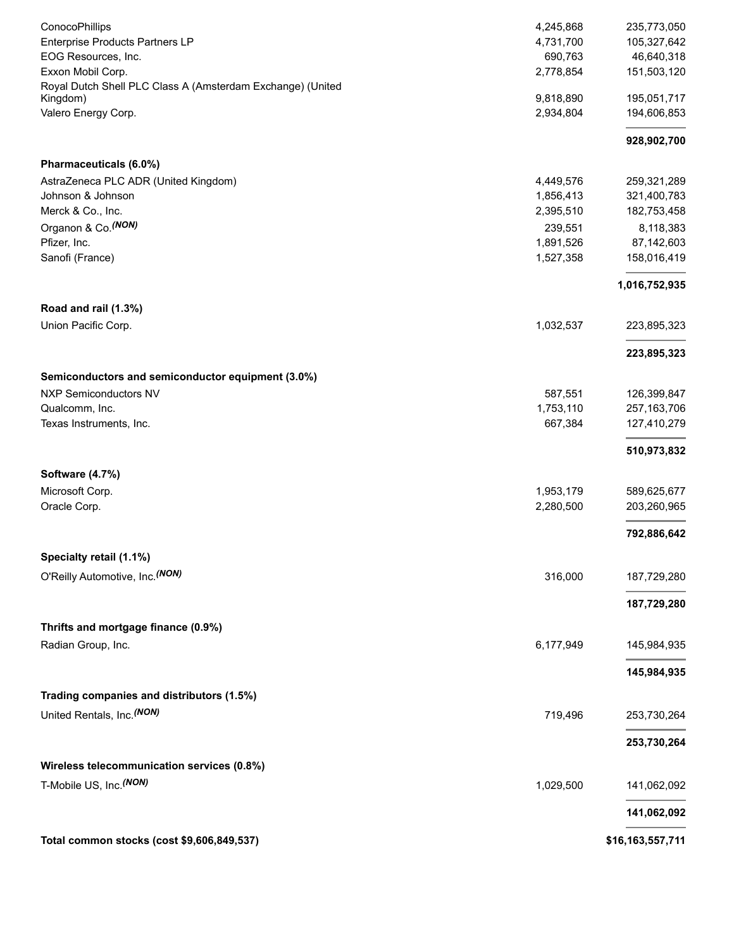| ConocoPhillips                                             | 4,245,868<br>4,731,700 | 235,773,050               |
|------------------------------------------------------------|------------------------|---------------------------|
| Enterprise Products Partners LP<br>EOG Resources, Inc.     | 690,763                | 105,327,642<br>46,640,318 |
| Exxon Mobil Corp.                                          | 2,778,854              | 151,503,120               |
| Royal Dutch Shell PLC Class A (Amsterdam Exchange) (United |                        |                           |
| Kingdom)                                                   | 9,818,890              | 195,051,717               |
| Valero Energy Corp.                                        | 2,934,804              | 194,606,853               |
|                                                            |                        | 928,902,700               |
| Pharmaceuticals (6.0%)                                     |                        |                           |
| AstraZeneca PLC ADR (United Kingdom)                       | 4,449,576              | 259,321,289               |
| Johnson & Johnson                                          | 1,856,413              | 321,400,783               |
| Merck & Co., Inc.                                          | 2,395,510              | 182,753,458               |
| Organon & Co. (NON)                                        | 239,551                | 8,118,383                 |
| Pfizer, Inc.                                               | 1,891,526              | 87,142,603                |
| Sanofi (France)                                            | 1,527,358              | 158,016,419               |
|                                                            |                        | 1,016,752,935             |
| Road and rail (1.3%)                                       |                        |                           |
| Union Pacific Corp.                                        | 1,032,537              | 223,895,323               |
|                                                            |                        | 223,895,323               |
| Semiconductors and semiconductor equipment (3.0%)          |                        |                           |
| <b>NXP Semiconductors NV</b>                               | 587,551                | 126,399,847               |
| Qualcomm, Inc.                                             | 1,753,110              | 257, 163, 706             |
| Texas Instruments, Inc.                                    | 667,384                | 127,410,279               |
|                                                            |                        | 510,973,832               |
| Software (4.7%)                                            |                        |                           |
| Microsoft Corp.                                            | 1,953,179              | 589,625,677               |
| Oracle Corp.                                               | 2,280,500              | 203,260,965               |
|                                                            |                        | 792,886,642               |
| Specialty retail (1.1%)                                    |                        |                           |
| O'Reilly Automotive, Inc. (NON)                            | 316,000                | 187,729,280               |
|                                                            |                        | 187,729,280               |
| Thrifts and mortgage finance (0.9%)                        |                        |                           |
| Radian Group, Inc.                                         | 6,177,949              | 145,984,935               |
|                                                            |                        | 145,984,935               |
| Trading companies and distributors (1.5%)                  |                        |                           |
| United Rentals, Inc. (NON)                                 | 719,496                |                           |
|                                                            |                        | 253,730,264               |
|                                                            |                        | 253,730,264               |
| Wireless telecommunication services (0.8%)                 |                        |                           |
| T-Mobile US, Inc. (NON)                                    | 1,029,500              | 141,062,092               |
|                                                            |                        | 141,062,092               |
| Total common stocks (cost \$9,606,849,537)                 |                        | \$16,163,557,711          |
|                                                            |                        |                           |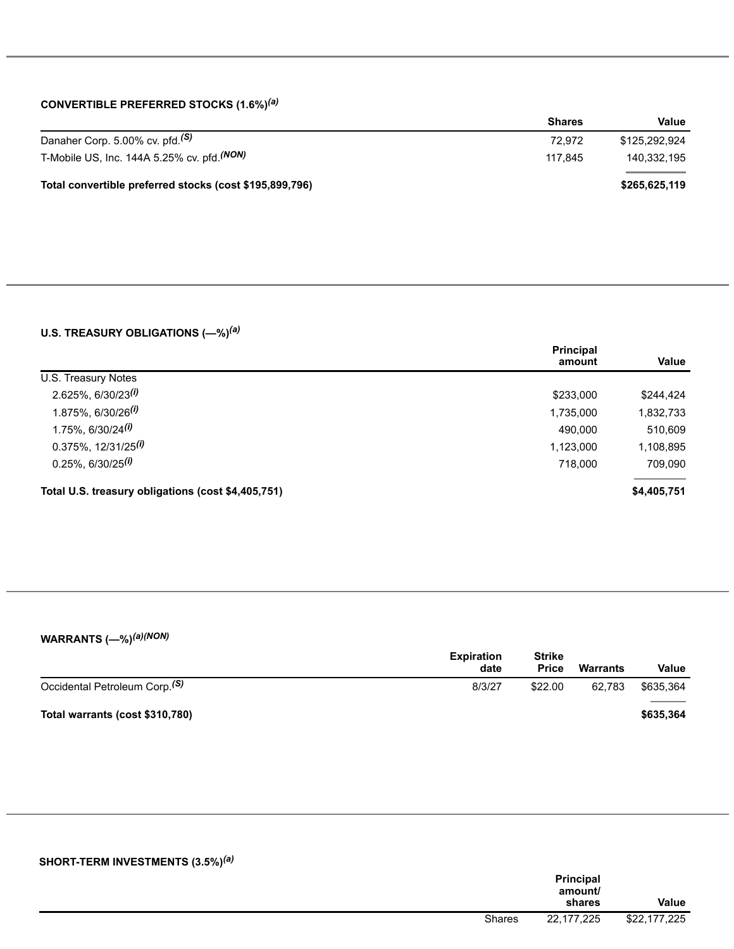## **CONVERTIBLE PREFERRED STOCKS (1.6%)** *(a)*

|                                                         | <b>Shares</b> | Value         |
|---------------------------------------------------------|---------------|---------------|
| Danaher Corp. 5.00% cv. pfd. <sup>(S)</sup>             | 72.972        | \$125.292.924 |
| T-Mobile US, Inc. 144A 5.25% cv. pfd. (NON)             | 117.845       | 140.332.195   |
| Total convertible preferred stocks (cost \$195,899,796) |               | \$265,625,119 |

## **U.S. TREASURY OBLIGATIONS (—%)** *(a)*

|                                                    | <b>Principal</b> |             |
|----------------------------------------------------|------------------|-------------|
| U.S. Treasury Notes                                | amount           | Value       |
|                                                    |                  |             |
| $2.625\%, 6/30/23$ <sup>(i)</sup>                  | \$233,000        | \$244,424   |
| $1.875\%$ , 6/30/26 <sup>(i)</sup>                 | 1,735,000        | 1,832,733   |
| $1.75\%$ , 6/30/24 <sup>(i)</sup>                  | 490.000          | 510,609     |
| $0.375\%$ , 12/31/25 <sup>(i)</sup>                | 1,123,000        | 1,108,895   |
| $0.25\%$ , 6/30/25 <sup>(i)</sup>                  | 718.000          | 709,090     |
| Total U.S. treasury obligations (cost \$4,405,751) |                  | \$4,405,751 |

## **WARRANTS (—%)** *(a)(NON)*

|                                           | <b>Expiration</b><br>date | <b>Strike</b><br><b>Price</b> | <b>Warrants</b> | Value     |
|-------------------------------------------|---------------------------|-------------------------------|-----------------|-----------|
| Occidental Petroleum Corp. <sup>(S)</sup> | 8/3/27                    | \$22.00                       | 62.783          | \$635.364 |
| Total warrants (cost \$310,780)           |                           |                               |                 | \$635,364 |

| SHORT-TERM INVESTMENTS (3.5%) <sup>(a)</sup> |               |                                       |              |
|----------------------------------------------|---------------|---------------------------------------|--------------|
|                                              |               | <b>Principal</b><br>amount/<br>shares | Value        |
|                                              | <b>Shares</b> | 22,177,225                            | \$22,177,225 |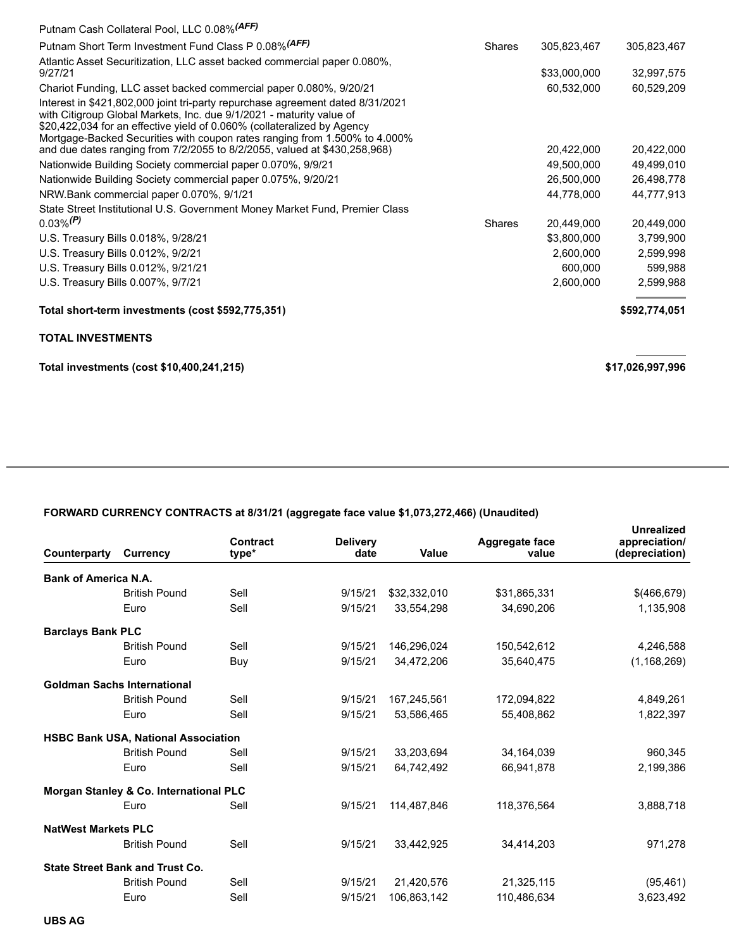| Putnam Cash Collateral Pool, LLC 0.08% (AFF)                                                                                                                                                                                                                                                                    |               |              |                  |
|-----------------------------------------------------------------------------------------------------------------------------------------------------------------------------------------------------------------------------------------------------------------------------------------------------------------|---------------|--------------|------------------|
| Putnam Short Term Investment Fund Class P 0.08% (AFF)                                                                                                                                                                                                                                                           | <b>Shares</b> | 305,823,467  | 305,823,467      |
| Atlantic Asset Securitization, LLC asset backed commercial paper 0.080%,<br>9/27/21                                                                                                                                                                                                                             |               | \$33,000,000 | 32,997,575       |
| Chariot Funding, LLC asset backed commercial paper 0.080%, 9/20/21                                                                                                                                                                                                                                              |               | 60,532,000   | 60,529,209       |
| Interest in \$421,802,000 joint tri-party repurchase agreement dated 8/31/2021<br>with Citigroup Global Markets, Inc. due 9/1/2021 - maturity value of<br>\$20,422,034 for an effective yield of 0.060% (collateralized by Agency<br>Mortgage-Backed Securities with coupon rates ranging from 1.500% to 4.000% |               |              |                  |
| and due dates ranging from 7/2/2055 to 8/2/2055, valued at \$430,258,968)                                                                                                                                                                                                                                       |               | 20.422.000   | 20,422,000       |
| Nationwide Building Society commercial paper 0.070%, 9/9/21                                                                                                                                                                                                                                                     |               | 49,500,000   | 49,499,010       |
| Nationwide Building Society commercial paper 0.075%, 9/20/21                                                                                                                                                                                                                                                    |               | 26,500,000   | 26,498,778       |
| NRW.Bank commercial paper 0.070%, 9/1/21                                                                                                                                                                                                                                                                        |               | 44,778,000   | 44,777,913       |
| State Street Institutional U.S. Government Money Market Fund, Premier Class                                                                                                                                                                                                                                     |               |              |                  |
| $0.03\%$ <sup>(P)</sup>                                                                                                                                                                                                                                                                                         | <b>Shares</b> | 20,449,000   | 20,449,000       |
| U.S. Treasury Bills 0.018%, 9/28/21                                                                                                                                                                                                                                                                             |               | \$3,800,000  | 3,799,900        |
| U.S. Treasury Bills 0.012%, 9/2/21                                                                                                                                                                                                                                                                              |               | 2,600,000    | 2,599,998        |
| U.S. Treasury Bills 0.012%, 9/21/21                                                                                                                                                                                                                                                                             |               | 600.000      | 599,988          |
| U.S. Treasury Bills 0.007%, 9/7/21                                                                                                                                                                                                                                                                              |               | 2,600,000    | 2,599,988        |
| Total short-term investments (cost \$592,775,351)                                                                                                                                                                                                                                                               |               |              | \$592,774,051    |
| <b>TOTAL INVESTMENTS</b>                                                                                                                                                                                                                                                                                        |               |              |                  |
| Total investments (cost \$10,400,241,215)                                                                                                                                                                                                                                                                       |               |              | \$17,026,997,996 |

# **FORWARD CURRENCY CONTRACTS at 8/31/21 (aggregate face value \$1,073,272,466) (Unaudited)**

| Counterparty                | <b>Currency</b>                            | Contract<br>type* | <b>Delivery</b><br>date | Value        | Aggregate face<br>value | <b>Unrealized</b><br>appreciation/<br>(depreciation) |
|-----------------------------|--------------------------------------------|-------------------|-------------------------|--------------|-------------------------|------------------------------------------------------|
| <b>Bank of America N.A.</b> |                                            |                   |                         |              |                         |                                                      |
|                             | <b>British Pound</b>                       | Sell              | 9/15/21                 | \$32,332,010 | \$31,865,331            | \$(466, 679)                                         |
|                             | Euro                                       | Sell              | 9/15/21                 | 33,554,298   | 34,690,206              | 1,135,908                                            |
| <b>Barclays Bank PLC</b>    |                                            |                   |                         |              |                         |                                                      |
|                             | <b>British Pound</b>                       | Sell              | 9/15/21                 | 146,296,024  | 150,542,612             | 4,246,588                                            |
|                             | Euro                                       | Buy               | 9/15/21                 | 34,472,206   | 35,640,475              | (1, 168, 269)                                        |
|                             | <b>Goldman Sachs International</b>         |                   |                         |              |                         |                                                      |
|                             | <b>British Pound</b>                       | Sell              | 9/15/21                 | 167,245,561  | 172,094,822             | 4,849,261                                            |
|                             | Euro                                       | Sell              | 9/15/21                 | 53.586.465   | 55.408.862              | 1,822,397                                            |
|                             | <b>HSBC Bank USA, National Association</b> |                   |                         |              |                         |                                                      |
|                             | <b>British Pound</b>                       | Sell              | 9/15/21                 | 33,203,694   | 34,164,039              | 960,345                                              |
|                             | Euro                                       | Sell              | 9/15/21                 | 64,742,492   | 66,941,878              | 2,199,386                                            |
|                             | Morgan Stanley & Co. International PLC     |                   |                         |              |                         |                                                      |
|                             | Euro                                       | Sell              | 9/15/21                 | 114,487,846  | 118,376,564             | 3,888,718                                            |
| <b>NatWest Markets PLC</b>  |                                            |                   |                         |              |                         |                                                      |
|                             | <b>British Pound</b>                       | Sell              | 9/15/21                 | 33,442,925   | 34,414,203              | 971,278                                              |
|                             | <b>State Street Bank and Trust Co.</b>     |                   |                         |              |                         |                                                      |
|                             | <b>British Pound</b>                       | Sell              | 9/15/21                 | 21,420,576   | 21,325,115              | (95, 461)                                            |
|                             | Euro                                       | Sell              | 9/15/21                 | 106,863,142  | 110,486,634             | 3,623,492                                            |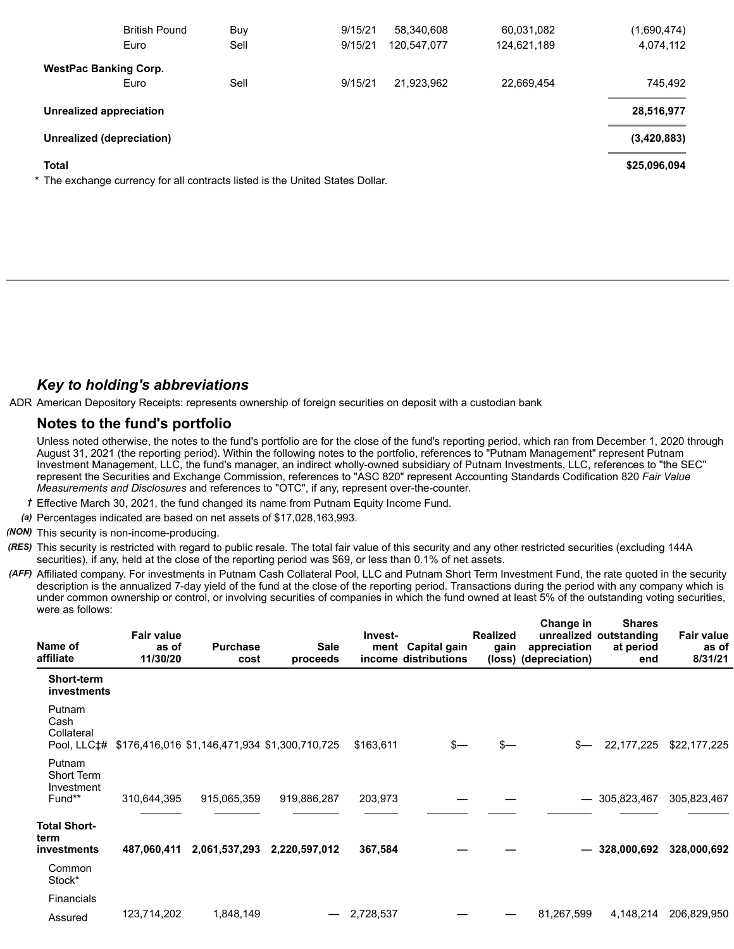|                              | <b>British Pound</b>                                                          | Buy  | 9/15/21 | 58,340,608  | 60,031,082  | (1,690,474)  |
|------------------------------|-------------------------------------------------------------------------------|------|---------|-------------|-------------|--------------|
|                              | Euro                                                                          | Sell | 9/15/21 | 120,547,077 | 124,621,189 | 4,074,112    |
| <b>WestPac Banking Corp.</b> |                                                                               |      |         |             |             |              |
|                              | Euro                                                                          | Sell | 9/15/21 | 21,923,962  | 22,669,454  | 745,492      |
| Unrealized appreciation      |                                                                               |      |         |             |             | 28,516,977   |
| Unrealized (depreciation)    |                                                                               |      |         |             |             | (3,420,883)  |
| <b>Total</b>                 |                                                                               |      |         |             |             | \$25,096,094 |
|                              | * The exchange currency for all contracts listed is the United States Dollar. |      |         |             |             |              |

# *Key to holding's abbreviations*

ADR American Depository Receipts: represents ownership of foreign securities on deposit with a custodian bank

# **Notes to the fund's portfolio**

Unless noted otherwise, the notes to the fund's portfolio are for the close of the fund's reporting period, which ran from December 1, 2020 through August 31, 2021 (the reporting period). Within the following notes to the portfolio, references to "Putnam Management" represent Putnam Investment Management, LLC, the fund's manager, an indirect wholly-owned subsidiary of Putnam Investments, LLC, references to "the SEC" represent the Securities and Exchange Commission, references to "ASC 820" represent Accounting Standards Codification 820 *Fair Value Measurements and Disclosures* and references to "OTC", if any, represent over-the-counter.

- *†* Effective March 30, 2021, the fund changed its name from Putnam Equity Income Fund.
- *(a)* Percentages indicated are based on net assets of \$17,028,163,993.

*(NON)* This security is non-income-producing.

- *(RES)* This security is restricted with regard to public resale. The total fair value of this security and any other restricted securities (excluding 144A securities), if any, held at the close of the reporting period was \$69, or less than 0.1% of net assets.
- *(AFF)* Affiliated company. For investments in Putnam Cash Collateral Pool, LLC and Putnam Short Term Investment Fund, the rate quoted in the security description is the annualized 7-day yield of the fund at the close of the reporting period. Transactions during the period with any company which is under common ownership or control, or involving securities of companies in which the fund owned at least 5% of the outstanding voting securities, were as follows:

**Change in**

**Shares**

| Name of<br>affiliate                                | <b>Fair value</b><br>as of<br>11/30/20 | <b>Purchase</b><br>cost                       | <b>Sale</b><br>proceeds | Invest-<br>ment | Capital gain<br>income distributions | <b>Realized</b><br>gain | <b>Unange</b> in<br>appreciation<br>(loss) (depreciation) | onares<br>unrealized outstanding<br>at period<br>end | <b>Fair value</b><br>as of<br>8/31/21 |
|-----------------------------------------------------|----------------------------------------|-----------------------------------------------|-------------------------|-----------------|--------------------------------------|-------------------------|-----------------------------------------------------------|------------------------------------------------------|---------------------------------------|
| <b>Short-term</b><br>investments                    |                                        |                                               |                         |                 |                                      |                         |                                                           |                                                      |                                       |
| Putnam<br>Cash<br>Collateral<br>Pool, LLC‡#         |                                        | \$176,416,016 \$1,146,471,934 \$1,300,710,725 |                         | \$163,611       | s—                                   | \$—                     | $s-$                                                      | 22, 177, 225                                         | \$22,177,225                          |
| Putnam<br><b>Short Term</b><br>Investment<br>Fund** | 310,644,395                            | 915,065,359                                   | 919,886,287             | 203,973         |                                      |                         |                                                           | $-305,823,467$                                       | 305,823,467                           |
| <b>Total Short-</b><br>term<br>investments          | 487,060,411                            | 2,061,537,293                                 | 2,220,597,012           | 367,584         |                                      |                         |                                                           | 328,000,692                                          | 328,000,692                           |
| Common<br>Stock*                                    |                                        |                                               |                         |                 |                                      |                         |                                                           |                                                      |                                       |
| Financials                                          |                                        |                                               |                         |                 |                                      |                         |                                                           |                                                      |                                       |
| Assured                                             | 123,714,202                            | 1,848,149                                     |                         | 2,728,537       |                                      |                         | 81,267,599                                                | 4,148,214                                            | 206,829,950                           |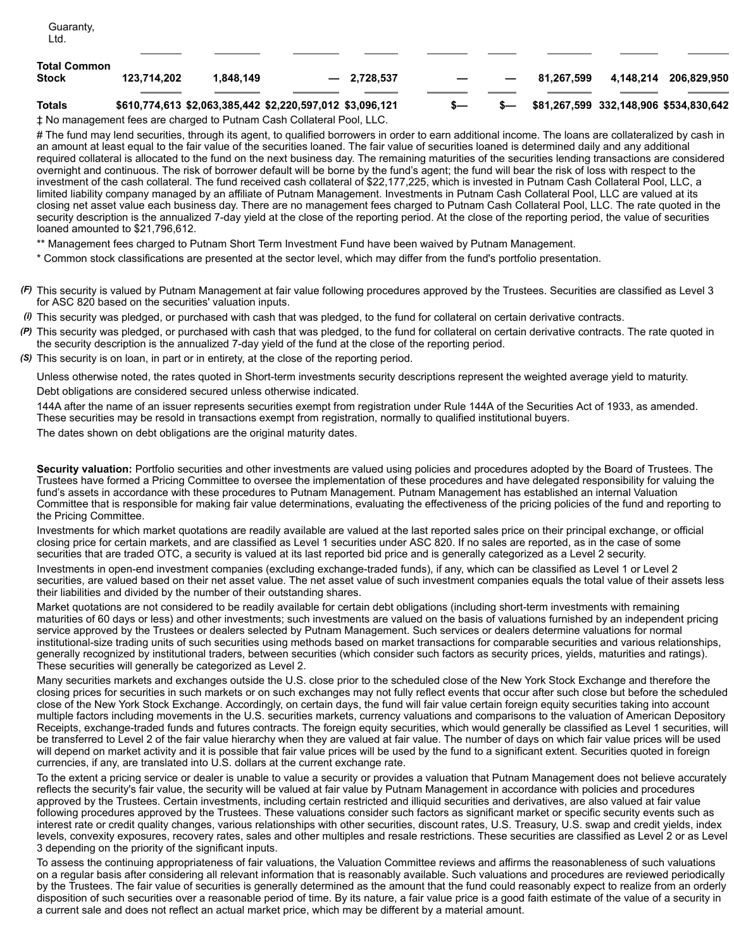|                       |             |           | ‡ No management fees are charged to Putnam Cash Collateral Pool, LLC. |  |            |           |                                        |
|-----------------------|-------------|-----------|-----------------------------------------------------------------------|--|------------|-----------|----------------------------------------|
| Totals                |             |           | \$610,774,613 \$2,063,385,442 \$2,220,597,012 \$3,096,121             |  |            |           | \$81,267,599 332,148,906 \$534,830,642 |
| Total Common<br>Stock | 123.714.202 | 1.848.149 | $-2.728.537$                                                          |  | 81.267.599 | 4.148.214 | 206.829.950                            |
| Guaranty,<br>Ltd.     |             |           |                                                                       |  |            |           |                                        |

# The fund may lend securities, through its agent, to qualified borrowers in order to earn additional income. The loans are collateralized by cash in an amount at least equal to the fair value of the securities loaned. The fair value of securities loaned is determined daily and any additional required collateral is allocated to the fund on the next business day. The remaining maturities of the securities lending transactions are considered overnight and continuous. The risk of borrower default will be borne by the fund's agent; the fund will bear the risk of loss with respect to the investment of the cash collateral. The fund received cash collateral of \$22,177,225, which is invested in Putnam Cash Collateral Pool, LLC, a limited liability company managed by an affiliate of Putnam Management. Investments in Putnam Cash Collateral Pool, LLC are valued at its closing net asset value each business day. There are no management fees charged to Putnam Cash Collateral Pool, LLC. The rate quoted in the security description is the annualized 7-day yield at the close of the reporting period. At the close of the reporting period, the value of securities loaned amounted to \$21,796,612.

\*\* Management fees charged to Putnam Short Term Investment Fund have been waived by Putnam Management.

\* Common stock classifications are presented at the sector level, which may differ from the fund's portfolio presentation.

- *(F)* This security is valued by Putnam Management at fair value following procedures approved by the Trustees. Securities are classified as Level 3 for ASC 820 based on the securities' valuation inputs.
- *(i)* This security was pledged, or purchased with cash that was pledged, to the fund for collateral on certain derivative contracts.
- *(P)* This security was pledged, or purchased with cash that was pledged, to the fund for collateral on certain derivative contracts. The rate quoted in the security description is the annualized 7-day yield of the fund at the close of the reporting period.
- *(S)* This security is on loan, in part or in entirety, at the close of the reporting period.

Unless otherwise noted, the rates quoted in Short-term investments security descriptions represent the weighted average yield to maturity. Debt obligations are considered secured unless otherwise indicated.

144A after the name of an issuer represents securities exempt from registration under Rule 144A of the Securities Act of 1933, as amended. These securities may be resold in transactions exempt from registration, normally to qualified institutional buyers.

The dates shown on debt obligations are the original maturity dates.

**Security valuation:** Portfolio securities and other investments are valued using policies and procedures adopted by the Board of Trustees. The Trustees have formed a Pricing Committee to oversee the implementation of these procedures and have delegated responsibility for valuing the fund's assets in accordance with these procedures to Putnam Management. Putnam Management has established an internal Valuation Committee that is responsible for making fair value determinations, evaluating the effectiveness of the pricing policies of the fund and reporting to the Pricing Committee.

Investments for which market quotations are readily available are valued at the last reported sales price on their principal exchange, or official closing price for certain markets, and are classified as Level 1 securities under ASC 820. If no sales are reported, as in the case of some securities that are traded OTC, a security is valued at its last reported bid price and is generally categorized as a Level 2 security.

Investments in open-end investment companies (excluding exchange-traded funds), if any, which can be classified as Level 1 or Level 2 securities, are valued based on their net asset value. The net asset value of such investment companies equals the total value of their assets less their liabilities and divided by the number of their outstanding shares.

Market quotations are not considered to be readily available for certain debt obligations (including short-term investments with remaining maturities of 60 days or less) and other investments; such investments are valued on the basis of valuations furnished by an independent pricing service approved by the Trustees or dealers selected by Putnam Management. Such services or dealers determine valuations for normal institutional-size trading units of such securities using methods based on market transactions for comparable securities and various relationships, generally recognized by institutional traders, between securities (which consider such factors as security prices, yields, maturities and ratings). These securities will generally be categorized as Level 2.

Many securities markets and exchanges outside the U.S. close prior to the scheduled close of the New York Stock Exchange and therefore the closing prices for securities in such markets or on such exchanges may not fully reflect events that occur after such close but before the scheduled close of the New York Stock Exchange. Accordingly, on certain days, the fund will fair value certain foreign equity securities taking into account multiple factors including movements in the U.S. securities markets, currency valuations and comparisons to the valuation of American Depository Receipts, exchange-traded funds and futures contracts. The foreign equity securities, which would generally be classified as Level 1 securities, will be transferred to Level 2 of the fair value hierarchy when they are valued at fair value. The number of days on which fair value prices will be used will depend on market activity and it is possible that fair value prices will be used by the fund to a significant extent. Securities quoted in foreign currencies, if any, are translated into U.S. dollars at the current exchange rate.

To the extent a pricing service or dealer is unable to value a security or provides a valuation that Putnam Management does not believe accurately reflects the security's fair value, the security will be valued at fair value by Putnam Management in accordance with policies and procedures approved by the Trustees. Certain investments, including certain restricted and illiquid securities and derivatives, are also valued at fair value following procedures approved by the Trustees. These valuations consider such factors as significant market or specific security events such as interest rate or credit quality changes, various relationships with other securities, discount rates, U.S. Treasury, U.S. swap and credit yields, index levels, convexity exposures, recovery rates, sales and other multiples and resale restrictions. These securities are classified as Level 2 or as Level 3 depending on the priority of the significant inputs.

To assess the continuing appropriateness of fair valuations, the Valuation Committee reviews and affirms the reasonableness of such valuations on a regular basis after considering all relevant information that is reasonably available. Such valuations and procedures are reviewed periodically by the Trustees. The fair value of securities is generally determined as the amount that the fund could reasonably expect to realize from an orderly disposition of such securities over a reasonable period of time. By its nature, a fair value price is a good faith estimate of the value of a security in a current sale and does not reflect an actual market price, which may be different by a material amount.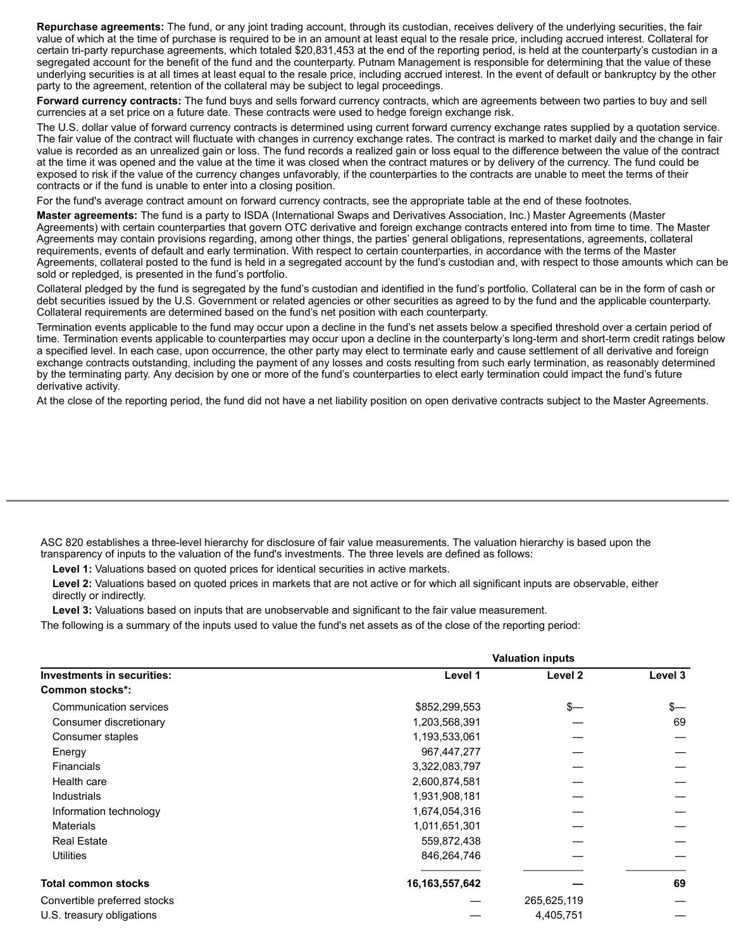**Repurchase agreements:** The fund, or any joint trading account, through its custodian, receives delivery of the underlying securities, the fair value of which at the time of purchase is required to be in an amount at least equal to the resale price, including accrued interest. Collateral for certain tri-party repurchase agreements, which totaled \$20,831,453 at the end of the reporting period, is held at the counterparty's custodian in a segregated account for the benefit of the fund and the counterparty. Putnam Management is responsible for determining that the value of these underlying securities is at all times at least equal to the resale price, including accrued interest. In the event of default or bankruptcy by the other party to the agreement, retention of the collateral may be subject to legal proceedings.

**Forward currency contracts:** The fund buys and sells forward currency contracts, which are agreements between two parties to buy and sell currencies at a set price on a future date. These contracts were used to hedge foreign exchange risk.

The U.S. dollar value of forward currency contracts is determined using current forward currency exchange rates supplied by a quotation service. The fair value of the contract will fluctuate with changes in currency exchange rates. The contract is marked to market daily and the change in fair value is recorded as an unrealized gain or loss. The fund records a realized gain or loss equal to the difference between the value of the contract at the time it was opened and the value at the time it was closed when the contract matures or by delivery of the currency. The fund could be exposed to risk if the value of the currency changes unfavorably, if the counterparties to the contracts are unable to meet the terms of their contracts or if the fund is unable to enter into a closing position.

For the fund's average contract amount on forward currency contracts, see the appropriate table at the end of these footnotes.

**Master agreements:** The fund is a party to ISDA (International Swaps and Derivatives Association, Inc.) Master Agreements (Master Agreements) with certain counterparties that govern OTC derivative and foreign exchange contracts entered into from time to time. The Master Agreements may contain provisions regarding, among other things, the parties' general obligations, representations, agreements, collateral requirements, events of default and early termination. With respect to certain counterparties, in accordance with the terms of the Master Agreements, collateral posted to the fund is held in a segregated account by the fund's custodian and, with respect to those amounts which can be sold or repledged, is presented in the fund's portfolio.

Collateral pledged by the fund is segregated by the fund's custodian and identified in the fund's portfolio. Collateral can be in the form of cash or debt securities issued by the U.S. Government or related agencies or other securities as agreed to by the fund and the applicable counterparty. Collateral requirements are determined based on the fund's net position with each counterparty.

Termination events applicable to the fund may occur upon a decline in the fund's net assets below a specified threshold over a certain period of time. Termination events applicable to counterparties may occur upon a decline in the counterparty's long-term and short-term credit ratings below a specified level. In each case, upon occurrence, the other party may elect to terminate early and cause settlement of all derivative and foreign exchange contracts outstanding, including the payment of any losses and costs resulting from such early termination, as reasonably determined by the terminating party. Any decision by one or more of the fund's counterparties to elect early termination could impact the fund's future derivative activity.

At the close of the reporting period, the fund did not have a net liability position on open derivative contracts subject to the Master Agreements.

ASC 820 establishes a three-level hierarchy for disclosure of fair value measurements. The valuation hierarchy is based upon the transparency of inputs to the valuation of the fund's investments. The three levels are defined as follows:

**Level 1:** Valuations based on quoted prices for identical securities in active markets.

**Level 2:** Valuations based on quoted prices in markets that are not active or for which all significant inputs are observable, either directly or indirectly.

**Level 3:** Valuations based on inputs that are unobservable and significant to the fair value measurement.

The following is a summary of the inputs used to value the fund's net assets as of the close of the reporting period:

|                                   | <b>Valuation inputs</b> |             |         |  |
|-----------------------------------|-------------------------|-------------|---------|--|
| <b>Investments in securities:</b> | Level 1                 | Level 2     | Level 3 |  |
| Common stocks*:                   |                         |             |         |  |
| Communication services            | \$852,299,553           | \$—         | $s-$    |  |
| Consumer discretionary            | 1,203,568,391           |             | 69      |  |
| Consumer staples                  | 1,193,533,061           |             |         |  |
| Energy                            | 967,447,277             |             |         |  |
| <b>Financials</b>                 | 3,322,083,797           |             |         |  |
| Health care                       | 2,600,874,581           |             |         |  |
| Industrials                       | 1,931,908,181           |             |         |  |
| Information technology            | 1,674,054,316           |             |         |  |
| <b>Materials</b>                  | 1,011,651,301           |             |         |  |
| <b>Real Estate</b>                | 559,872,438             |             |         |  |
| <b>Utilities</b>                  | 846,264,746             |             |         |  |
| <b>Total common stocks</b>        | 16, 163, 557, 642       |             | 69      |  |
| Convertible preferred stocks      |                         | 265,625,119 |         |  |
| U.S. treasury obligations         |                         | 4,405,751   |         |  |